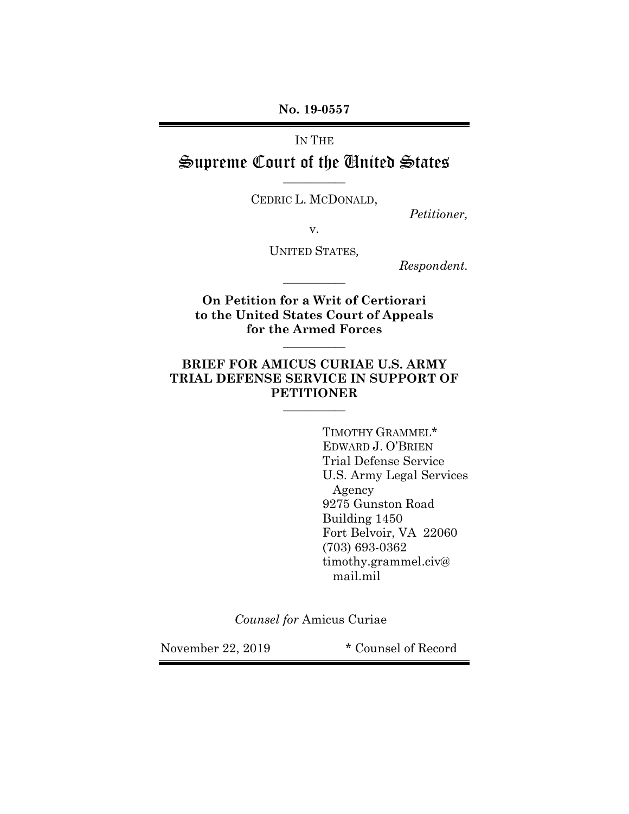**No. 19-0557**

# IN THE Supreme Court of the United States

**\_\_\_\_\_\_\_\_\_\_\_**

CEDRIC L. MCDONALD,

*Petitioner,*

v.

UNITED STATES*,*

**\_\_\_\_\_\_\_\_\_\_\_**

*Respondent.*

**On Petition for a Writ of Certiorari to the United States Court of Appeals for the Armed Forces \_\_\_\_\_\_\_\_\_\_\_**

## **BRIEF FOR AMICUS CURIAE U.S. ARMY TRIAL DEFENSE SERVICE IN SUPPORT OF PETITIONER \_\_\_\_\_\_\_\_\_\_\_**

TIMOTHY GRAMMEL\* EDWARD J. O'BRIEN Trial Defense Service U.S. Army Legal Services Agency 9275 Gunston Road Building 1450 Fort Belvoir, VA 22060 (703) 693-0362 timothy.grammel.civ@ mail.mil

*Counsel for* Amicus Curiae

November 22, 2019 \* Counsel of Record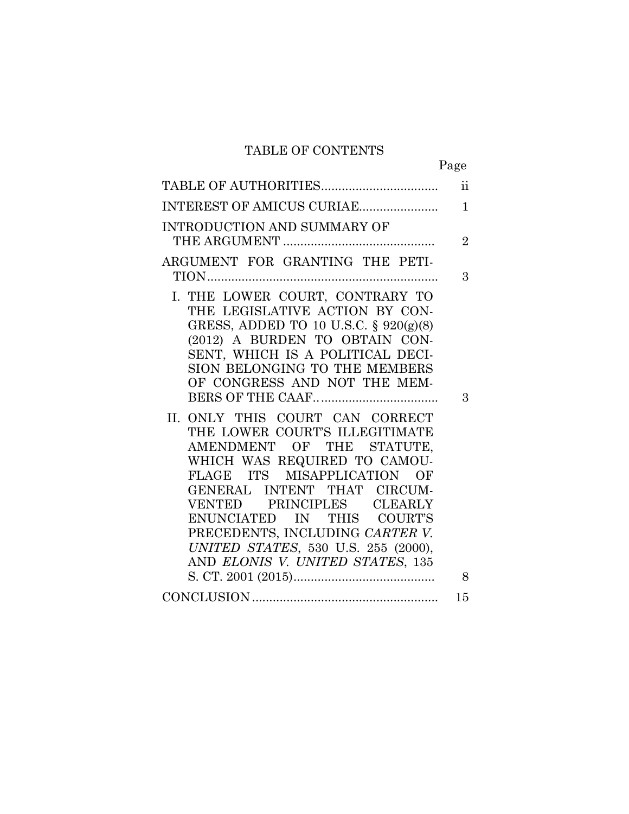## TABLE OF CONTENTS

Page

|                                                                                                                                                                                                                                                                                                                                   | $\ddot{\text{ii}}$ |
|-----------------------------------------------------------------------------------------------------------------------------------------------------------------------------------------------------------------------------------------------------------------------------------------------------------------------------------|--------------------|
| INTEREST OF AMICUS CURIAE                                                                                                                                                                                                                                                                                                         | $\mathbf{1}$       |
| INTRODUCTION AND SUMMARY OF                                                                                                                                                                                                                                                                                                       | $\overline{2}$     |
| ARGUMENT FOR GRANTING THE PETI-                                                                                                                                                                                                                                                                                                   | 3                  |
| I. THE LOWER COURT, CONTRARY TO<br>THE LEGISLATIVE ACTION BY CON-<br>GRESS, ADDED TO 10 U.S.C. § 920(g)(8)<br>(2012) A BURDEN TO OBTAIN CON-<br>SENT, WHICH IS A POLITICAL DECI-<br>SION BELONGING TO THE MEMBERS<br>OF CONGRESS AND NOT THE MEM-                                                                                 |                    |
|                                                                                                                                                                                                                                                                                                                                   | 3                  |
| II. ONLY THIS COURT CAN CORRECT<br>THE LOWER COURT'S ILLEGITIMATE<br>AMENDMENT OF THE STATUTE,<br>WHICH WAS REQUIRED TO CAMOU-<br>FLAGE ITS MISAPPLICATION OF<br>GENERAL INTENT THAT CIRCUM-<br>VENTED PRINCIPLES CLEARLY<br>ENUNCIATED IN THIS COURT'S<br>PRECEDENTS, INCLUDING CARTER V.<br>UNITED STATES, 530 U.S. 255 (2000), |                    |
| AND ELONIS V. UNITED STATES, 135                                                                                                                                                                                                                                                                                                  | 8                  |
|                                                                                                                                                                                                                                                                                                                                   | 15                 |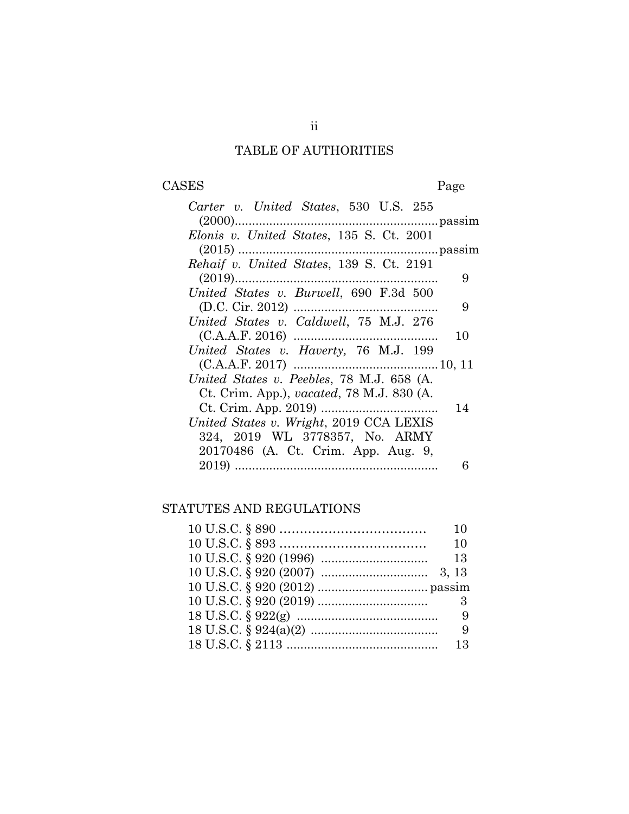## TABLE OF AUTHORITIES

# CASES Page

| Carter v. United States, 530 U.S. 255     |    |
|-------------------------------------------|----|
|                                           |    |
| Elonis v. United States, 135 S. Ct. 2001  |    |
|                                           |    |
| Rehaif v. United States, 139 S. Ct. 2191  |    |
|                                           | 9  |
| United States v. Burwell, 690 F.3d 500    |    |
|                                           | 9  |
| United States v. Caldwell, 75 M.J. 276    |    |
|                                           | 10 |
| United States v. Haverty, 76 M.J. 199     |    |
|                                           |    |
| United States v. Peebles, 78 M.J. 658 (A. |    |
| Ct. Crim. App.), vacated, 78 M.J. 830 (A. |    |
|                                           | 14 |
| United States v. Wright, 2019 CCA LEXIS   |    |
| 324, 2019 WL 3778357, No. ARMY            |    |
| 20170486 (A. Ct. Crim. App. Aug. 9,       |    |
|                                           | 6  |

## STATUTES AND REGULATIONS

| 10  |
|-----|
| 10  |
|     |
|     |
|     |
|     |
|     |
| - 9 |
|     |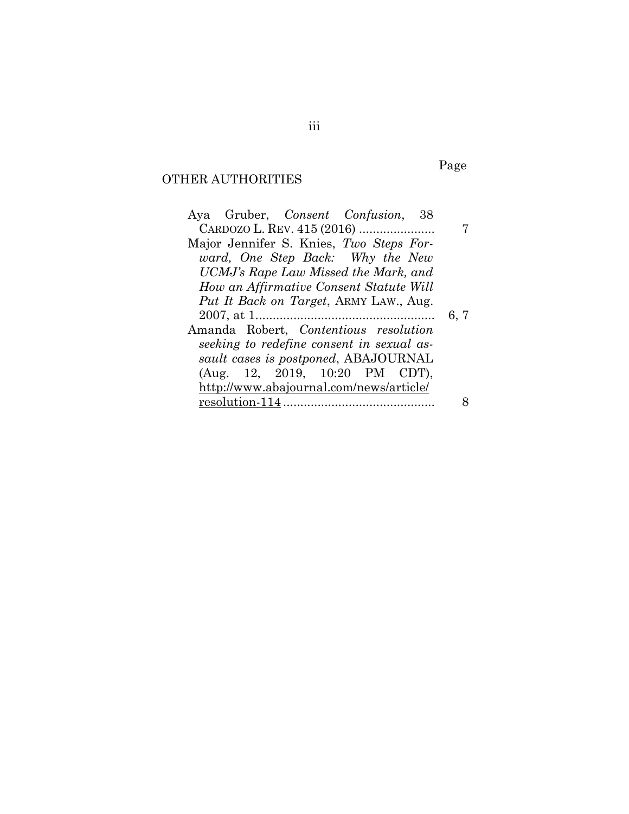## OTHER AUTHORITIES

| Aya Gruber, <i>Consent Confusion</i> , 38 |      |
|-------------------------------------------|------|
| CARDOZO L. REV. 415 (2016)                |      |
| Major Jennifer S. Knies, Two Steps For-   |      |
| ward, One Step Back: Why the New          |      |
| UCMJ's Rape Law Missed the Mark, and      |      |
| How an Affirmative Consent Statute Will   |      |
| Put It Back on Target, ARMY LAW., Aug.    |      |
|                                           | 6, 7 |
| Amanda Robert, Contentious resolution     |      |
| seeking to redefine consent in sexual as- |      |
| sault cases is postponed, ABAJOURNAL      |      |
| (Aug. 12, 2019, 10:20 PM CDT),            |      |
| http://www.abajournal.com/news/article/   |      |
| resolution-114                            |      |

Page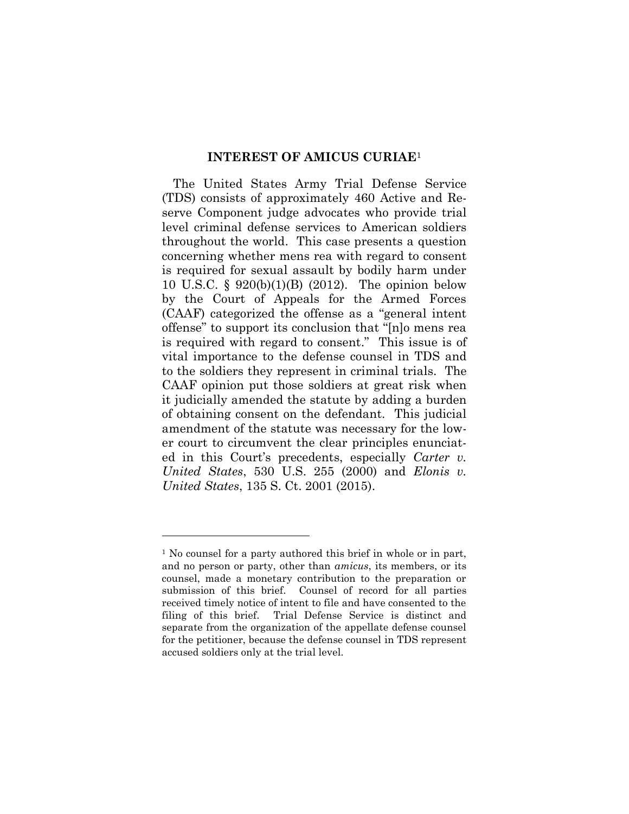#### **INTEREST OF AMICUS CURIAE**<sup>1</sup>

The United States Army Trial Defense Service (TDS) consists of approximately 460 Active and Reserve Component judge advocates who provide trial level criminal defense services to American soldiers throughout the world. This case presents a question concerning whether mens rea with regard to consent is required for sexual assault by bodily harm under 10 U.S.C. § 920(b)(1)(B) (2012). The opinion below by the Court of Appeals for the Armed Forces (CAAF) categorized the offense as a "general intent offense" to support its conclusion that "[n]o mens rea is required with regard to consent." This issue is of vital importance to the defense counsel in TDS and to the soldiers they represent in criminal trials. The CAAF opinion put those soldiers at great risk when it judicially amended the statute by adding a burden of obtaining consent on the defendant. This judicial amendment of the statute was necessary for the lower court to circumvent the clear principles enunciated in this Court's precedents, especially *Carter v. United States*, 530 U.S. 255 (2000) and *Elonis v. United States*, 135 S. Ct. 2001 (2015).

<sup>&</sup>lt;sup>1</sup> No counsel for a party authored this brief in whole or in part, and no person or party, other than *amicus*, its members, or its counsel, made a monetary contribution to the preparation or submission of this brief. Counsel of record for all parties received timely notice of intent to file and have consented to the filing of this brief. Trial Defense Service is distinct and separate from the organization of the appellate defense counsel for the petitioner, because the defense counsel in TDS represent accused soldiers only at the trial level.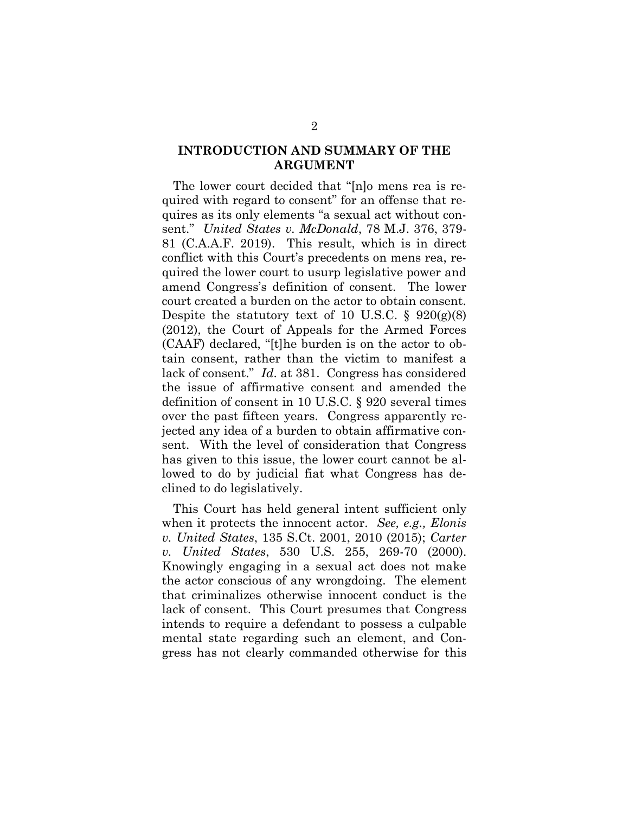#### **INTRODUCTION AND SUMMARY OF THE ARGUMENT**

The lower court decided that "[n]o mens rea is required with regard to consent" for an offense that requires as its only elements "a sexual act without consent." *United States v. McDonald*, 78 M.J. 376, 379- 81 (C.A.A.F. 2019). This result, which is in direct conflict with this Court's precedents on mens rea, required the lower court to usurp legislative power and amend Congress's definition of consent. The lower court created a burden on the actor to obtain consent. Despite the statutory text of 10 U.S.C.  $\S$  920(g)(8) (2012), the Court of Appeals for the Armed Forces (CAAF) declared, "[t]he burden is on the actor to obtain consent, rather than the victim to manifest a lack of consent." *Id*. at 381. Congress has considered the issue of affirmative consent and amended the definition of consent in 10 U.S.C. § 920 several times over the past fifteen years. Congress apparently rejected any idea of a burden to obtain affirmative consent. With the level of consideration that Congress has given to this issue, the lower court cannot be allowed to do by judicial fiat what Congress has declined to do legislatively.

This Court has held general intent sufficient only when it protects the innocent actor. *See, e.g., Elonis v. United States*, 135 S.Ct. 2001, 2010 (2015); *Carter v. United States*, 530 U.S. 255, 269-70 (2000). Knowingly engaging in a sexual act does not make the actor conscious of any wrongdoing. The element that criminalizes otherwise innocent conduct is the lack of consent. This Court presumes that Congress intends to require a defendant to possess a culpable mental state regarding such an element, and Congress has not clearly commanded otherwise for this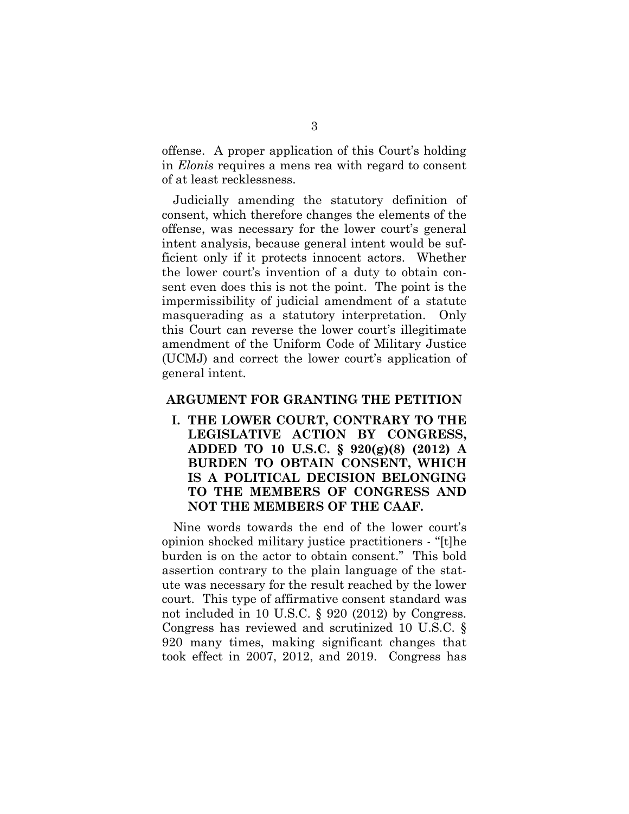offense. A proper application of this Court's holding in *Elonis* requires a mens rea with regard to consent of at least recklessness.

Judicially amending the statutory definition of consent, which therefore changes the elements of the offense, was necessary for the lower court's general intent analysis, because general intent would be sufficient only if it protects innocent actors. Whether the lower court's invention of a duty to obtain consent even does this is not the point. The point is the impermissibility of judicial amendment of a statute masquerading as a statutory interpretation. Only this Court can reverse the lower court's illegitimate amendment of the Uniform Code of Military Justice (UCMJ) and correct the lower court's application of general intent.

#### **ARGUMENT FOR GRANTING THE PETITION**

**I. THE LOWER COURT, CONTRARY TO THE LEGISLATIVE ACTION BY CONGRESS, ADDED TO 10 U.S.C. § 920(g)(8) (2012) A BURDEN TO OBTAIN CONSENT, WHICH IS A POLITICAL DECISION BELONGING TO THE MEMBERS OF CONGRESS AND NOT THE MEMBERS OF THE CAAF.** 

Nine words towards the end of the lower court's opinion shocked military justice practitioners - "[t]he burden is on the actor to obtain consent." This bold assertion contrary to the plain language of the statute was necessary for the result reached by the lower court. This type of affirmative consent standard was not included in 10 U.S.C. § 920 (2012) by Congress. Congress has reviewed and scrutinized 10 U.S.C. § 920 many times, making significant changes that took effect in 2007, 2012, and 2019. Congress has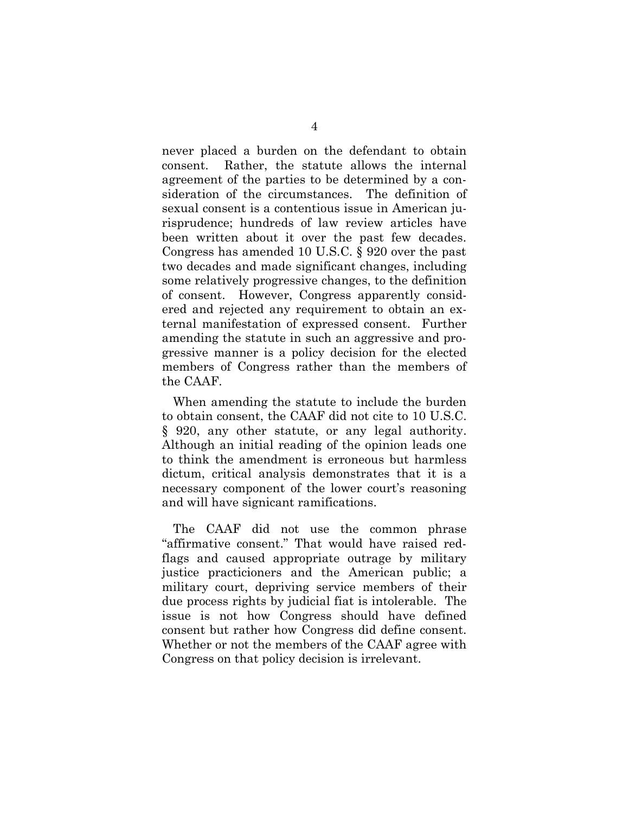never placed a burden on the defendant to obtain consent. Rather, the statute allows the internal agreement of the parties to be determined by a consideration of the circumstances. The definition of sexual consent is a contentious issue in American jurisprudence; hundreds of law review articles have been written about it over the past few decades. Congress has amended 10 U.S.C. § 920 over the past two decades and made significant changes, including some relatively progressive changes, to the definition of consent. However, Congress apparently considered and rejected any requirement to obtain an external manifestation of expressed consent. Further amending the statute in such an aggressive and progressive manner is a policy decision for the elected members of Congress rather than the members of the CAAF.

When amending the statute to include the burden to obtain consent, the CAAF did not cite to 10 U.S.C. § 920, any other statute, or any legal authority. Although an initial reading of the opinion leads one to think the amendment is erroneous but harmless dictum, critical analysis demonstrates that it is a necessary component of the lower court's reasoning and will have signicant ramifications.

The CAAF did not use the common phrase "affirmative consent." That would have raised redflags and caused appropriate outrage by military justice practicioners and the American public; a military court, depriving service members of their due process rights by judicial fiat is intolerable. The issue is not how Congress should have defined consent but rather how Congress did define consent. Whether or not the members of the CAAF agree with Congress on that policy decision is irrelevant.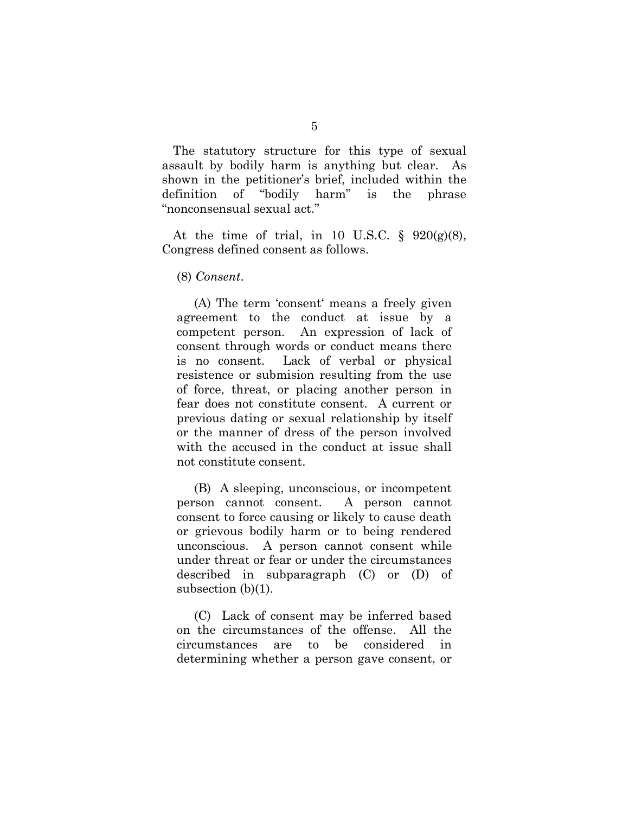The statutory structure for this type of sexual assault by bodily harm is anything but clear. As shown in the petitioner's brief, included within the definition of "bodily harm" is the phrase "nonconsensual sexual act."

At the time of trial, in 10 U.S.C.  $\S$  920(g)(8), Congress defined consent as follows.

(8) *Consent*.

 (A) The term 'consent' means a freely given agreement to the conduct at issue by a competent person. An expression of lack of consent through words or conduct means there is no consent. Lack of verbal or physical resistence or submision resulting from the use of force, threat, or placing another person in fear does not constitute consent. A current or previous dating or sexual relationship by itself or the manner of dress of the person involved with the accused in the conduct at issue shall not constitute consent.

 (B) A sleeping, unconscious, or incompetent person cannot consent. A person cannot consent to force causing or likely to cause death or grievous bodily harm or to being rendered unconscious. A person cannot consent while under threat or fear or under the circumstances described in subparagraph (C) or (D) of subsection (b)(1).

 (C) Lack of consent may be inferred based on the circumstances of the offense. All the circumstances are to be considered in determining whether a person gave consent, or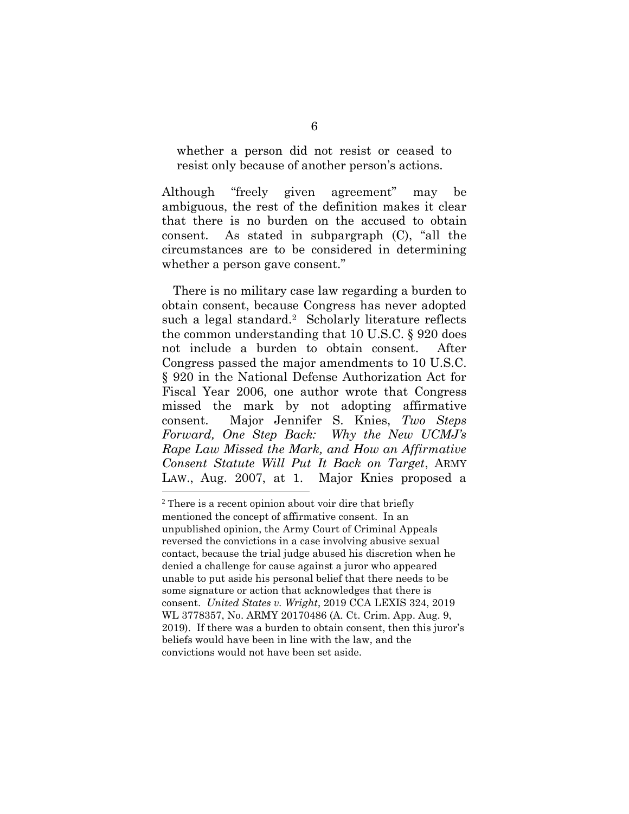whether a person did not resist or ceased to resist only because of another person's actions.

Although "freely given agreement" may be ambiguous, the rest of the definition makes it clear that there is no burden on the accused to obtain consent. As stated in subpargraph (C), "all the circumstances are to be considered in determining whether a person gave consent."

There is no military case law regarding a burden to obtain consent, because Congress has never adopted such a legal standard. <sup>2</sup> Scholarly literature reflects the common understanding that 10 U.S.C. § 920 does not include a burden to obtain consent. After Congress passed the major amendments to 10 U.S.C. § 920 in the National Defense Authorization Act for Fiscal Year 2006, one author wrote that Congress missed the mark by not adopting affirmative consent. Major Jennifer S. Knies, *Two Steps Forward, One Step Back: Why the New UCMJ's Rape Law Missed the Mark, and How an Affirmative Consent Statute Will Put It Back on Target*, ARMY LAW., Aug. 2007, at 1. Major Knies proposed a 

<sup>2</sup> There is a recent opinion about voir dire that briefly mentioned the concept of affirmative consent. In an unpublished opinion, the Army Court of Criminal Appeals reversed the convictions in a case involving abusive sexual contact, because the trial judge abused his discretion when he denied a challenge for cause against a juror who appeared unable to put aside his personal belief that there needs to be some signature or action that acknowledges that there is consent. *United States v. Wright*, 2019 CCA LEXIS 324, 2019 WL 3778357, No. ARMY 20170486 (A. Ct. Crim. App. Aug. 9, 2019). If there was a burden to obtain consent, then this juror's beliefs would have been in line with the law, and the convictions would not have been set aside.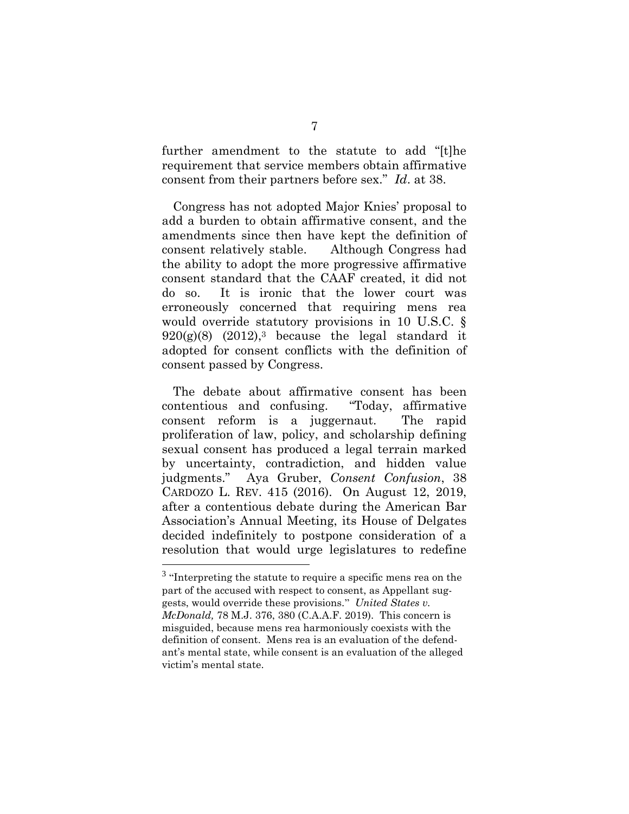further amendment to the statute to add "[t]he requirement that service members obtain affirmative consent from their partners before sex." *Id*. at 38.

Congress has not adopted Major Knies' proposal to add a burden to obtain affirmative consent, and the amendments since then have kept the definition of consent relatively stable. Although Congress had the ability to adopt the more progressive affirmative consent standard that the CAAF created, it did not do so. It is ironic that the lower court was erroneously concerned that requiring mens rea would override statutory provisions in 10 U.S.C. §  $920(g)(8)$   $(2012)<sup>3</sup>$  because the legal standard it adopted for consent conflicts with the definition of consent passed by Congress.

The debate about affirmative consent has been contentious and confusing. "Today, affirmative consent reform is a juggernaut. The rapid proliferation of law, policy, and scholarship defining sexual consent has produced a legal terrain marked by uncertainty, contradiction, and hidden value judgments." Aya Gruber, *Consent Confusion*, 38 CARDOZO L. REV. 415 (2016). On August 12, 2019, after a contentious debate during the American Bar Association's Annual Meeting, its House of Delgates decided indefinitely to postpone consideration of a resolution that would urge legislatures to redefine

l

<sup>&</sup>lt;sup>3</sup> "Interpreting the statute to require a specific mens rea on the part of the accused with respect to consent, as Appellant suggests, would override these provisions." *United States v. McDonald,* 78 M.J. 376, 380 (C.A.A.F. 2019). This concern is misguided, because mens rea harmoniously coexists with the definition of consent. Mens rea is an evaluation of the defendant's mental state, while consent is an evaluation of the alleged victim's mental state.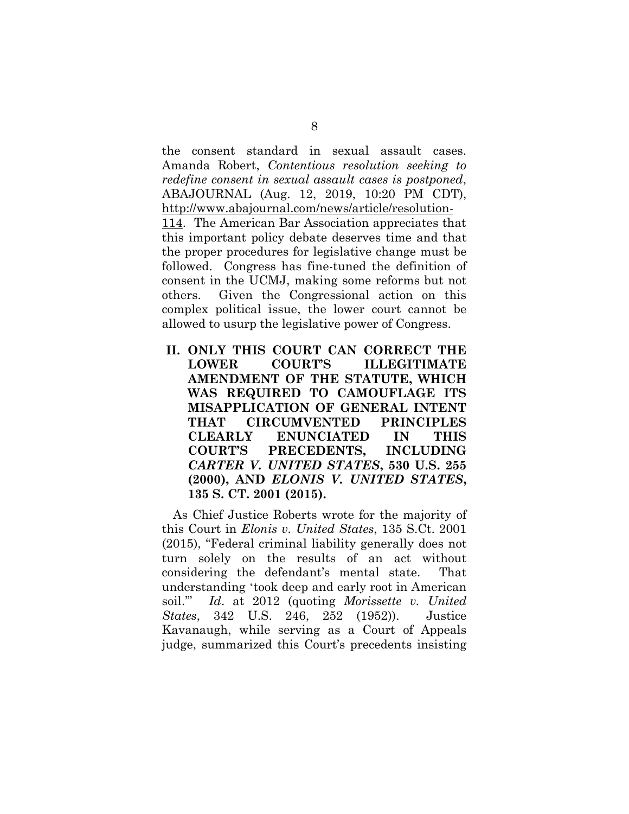the consent standard in sexual assault cases. Amanda Robert, *Contentious resolution seeking to redefine consent in sexual assault cases is postponed*, ABAJOURNAL (Aug. 12, 2019, 10:20 PM CDT), [http://www.abajournal.com/news/article/resolution-](http://www.abajournal.com/news/article/resolution-114)[114.](http://www.abajournal.com/news/article/resolution-114) The American Bar Association appreciates that this important policy debate deserves time and that the proper procedures for legislative change must be followed. Congress has fine-tuned the definition of consent in the UCMJ, making some reforms but not others. Given the Congressional action on this complex political issue, the lower court cannot be allowed to usurp the legislative power of Congress.

**II. ONLY THIS COURT CAN CORRECT THE LOWER COURT'S ILLEGITIMATE AMENDMENT OF THE STATUTE, WHICH WAS REQUIRED TO CAMOUFLAGE ITS MISAPPLICATION OF GENERAL INTENT THAT CIRCUMVENTED PRINCIPLES CLEARLY ENUNCIATED IN THIS COURT'S PRECEDENTS, INCLUDING**  *CARTER V. UNITED STATES***, 530 U.S. 255 (2000), AND** *ELONIS V. UNITED STATES***, 135 S. CT. 2001 (2015).** 

As Chief Justice Roberts wrote for the majority of this Court in *Elonis v. United States*, 135 S.Ct. 2001 (2015), "Federal criminal liability generally does not turn solely on the results of an act without considering the defendant's mental state. That understanding 'took deep and early root in American soil.'" *Id*. at 2012 (quoting *Morissette v. United States*, 342 U.S. 246, 252 (1952)). Justice Kavanaugh, while serving as a Court of Appeals judge, summarized this Court's precedents insisting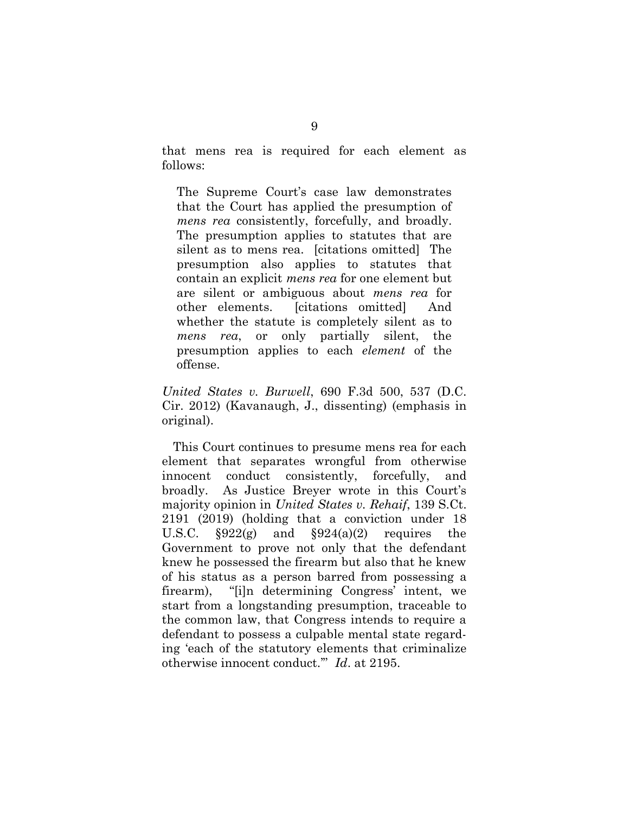that mens rea is required for each element as follows:

The Supreme Court's case law demonstrates that the Court has applied the presumption of *mens rea* consistently, forcefully, and broadly. The presumption applies to statutes that are silent as to mens rea. [citations omitted] The presumption also applies to statutes that contain an explicit *mens rea* for one element but are silent or ambiguous about *mens rea* for other elements. [citations omitted] And whether the statute is completely silent as to *mens rea*, or only partially silent, the presumption applies to each *element* of the offense.

*United States v. Burwell*, 690 F.3d 500, 537 (D.C. Cir. 2012) (Kavanaugh, J., dissenting) (emphasis in original).

This Court continues to presume mens rea for each element that separates wrongful from otherwise innocent conduct consistently, forcefully, and broadly. As Justice Breyer wrote in this Court's majority opinion in *United States v. Rehaif*, 139 S.Ct. 2191 (2019) (holding that a conviction under 18 U.S.C.  $$922(\text{g})$  and  $$924(\text{a})(2)$  requires the Government to prove not only that the defendant knew he possessed the firearm but also that he knew of his status as a person barred from possessing a firearm), "[i]n determining Congress' intent, we start from a longstanding presumption, traceable to the common law, that Congress intends to require a defendant to possess a culpable mental state regarding 'each of the statutory elements that criminalize otherwise innocent conduct.'" *Id*. at 2195.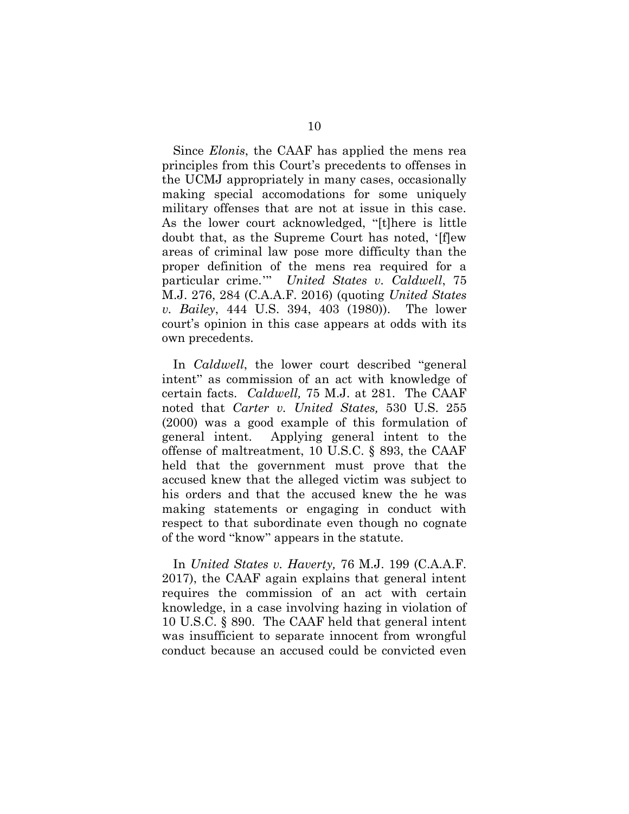Since *Elonis*, the CAAF has applied the mens rea principles from this Court's precedents to offenses in the UCMJ appropriately in many cases, occasionally making special accomodations for some uniquely military offenses that are not at issue in this case. As the lower court acknowledged, "[t]here is little doubt that, as the Supreme Court has noted, '[f]ew areas of criminal law pose more difficulty than the proper definition of the mens rea required for a particular crime.'" *United States v. Caldwell*, 75 M.J. 276, 284 (C.A.A.F. 2016) (quoting *United States v. Bailey*, 444 U.S. 394, 403 (1980)). The lower court's opinion in this case appears at odds with its own precedents.

In *Caldwell*, the lower court described "general intent" as commission of an act with knowledge of certain facts. *Caldwell,* 75 M.J. at 281. The CAAF noted that *Carter v. United States,* 530 U.S. 255 (2000) was a good example of this formulation of general intent. Applying general intent to the offense of maltreatment, 10 U.S.C. § 893, the CAAF held that the government must prove that the accused knew that the alleged victim was subject to his orders and that the accused knew the he was making statements or engaging in conduct with respect to that subordinate even though no cognate of the word "know" appears in the statute.

In *United States v. Haverty,* 76 M.J. 199 (C.A.A.F. 2017), the CAAF again explains that general intent requires the commission of an act with certain knowledge, in a case involving hazing in violation of 10 U.S.C. § 890. The CAAF held that general intent was insufficient to separate innocent from wrongful conduct because an accused could be convicted even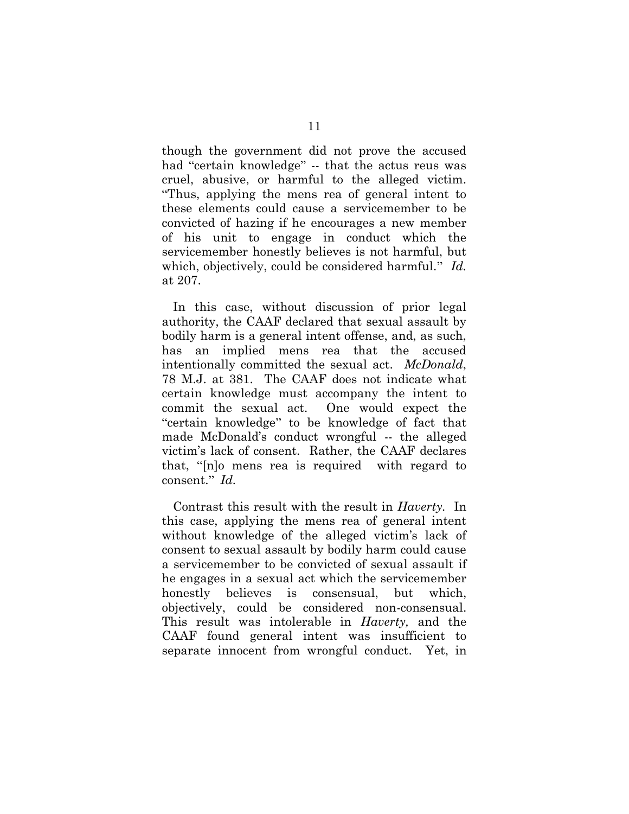though the government did not prove the accused had "certain knowledge" -- that the actus reus was cruel, abusive, or harmful to the alleged victim. "Thus, applying the mens rea of general intent to these elements could cause a servicemember to be convicted of hazing if he encourages a new member of his unit to engage in conduct which the servicemember honestly believes is not harmful, but which, objectively, could be considered harmful." *Id.*  at 207.

In this case, without discussion of prior legal authority, the CAAF declared that sexual assault by bodily harm is a general intent offense, and, as such, has an implied mens rea that the accused intentionally committed the sexual act. *McDonald*, 78 M.J. at 381. The CAAF does not indicate what certain knowledge must accompany the intent to commit the sexual act. One would expect the "certain knowledge" to be knowledge of fact that made McDonald's conduct wrongful -- the alleged victim's lack of consent. Rather, the CAAF declares that, "[n]o mens rea is required with regard to consent." *Id.*

Contrast this result with the result in *Haverty.* In this case, applying the mens rea of general intent without knowledge of the alleged victim's lack of consent to sexual assault by bodily harm could cause a servicemember to be convicted of sexual assault if he engages in a sexual act which the servicemember honestly believes is consensual, but which, objectively, could be considered non-consensual. This result was intolerable in *Haverty,* and the CAAF found general intent was insufficient to separate innocent from wrongful conduct. Yet, in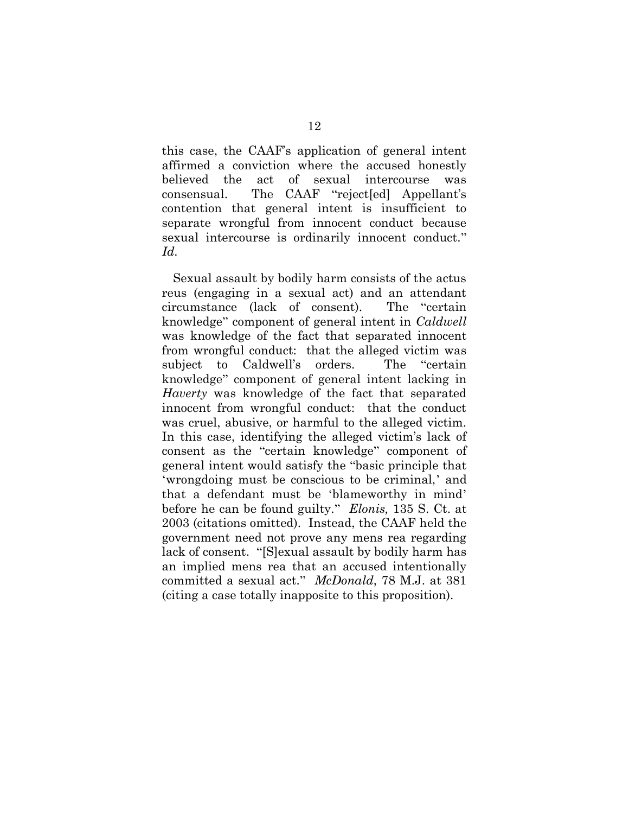this case, the CAAF's application of general intent affirmed a conviction where the accused honestly believed the act of sexual intercourse was consensual. The CAAF "reject[ed] Appellant's contention that general intent is insufficient to separate wrongful from innocent conduct because sexual intercourse is ordinarily innocent conduct." *Id.* 

Sexual assault by bodily harm consists of the actus reus (engaging in a sexual act) and an attendant circumstance (lack of consent). The "certain knowledge" component of general intent in *Caldwell*  was knowledge of the fact that separated innocent from wrongful conduct: that the alleged victim was subject to Caldwell's orders. The "certain knowledge" component of general intent lacking in *Haverty* was knowledge of the fact that separated innocent from wrongful conduct: that the conduct was cruel, abusive, or harmful to the alleged victim. In this case, identifying the alleged victim's lack of consent as the "certain knowledge" component of general intent would satisfy the "basic principle that 'wrongdoing must be conscious to be criminal,' and that a defendant must be 'blameworthy in mind' before he can be found guilty." *Elonis,* 135 S. Ct. at 2003 (citations omitted). Instead, the CAAF held the government need not prove any mens rea regarding lack of consent. "[S]exual assault by bodily harm has an implied mens rea that an accused intentionally committed a sexual act." *McDonald*, 78 M.J. at 381 (citing a case totally inapposite to this proposition).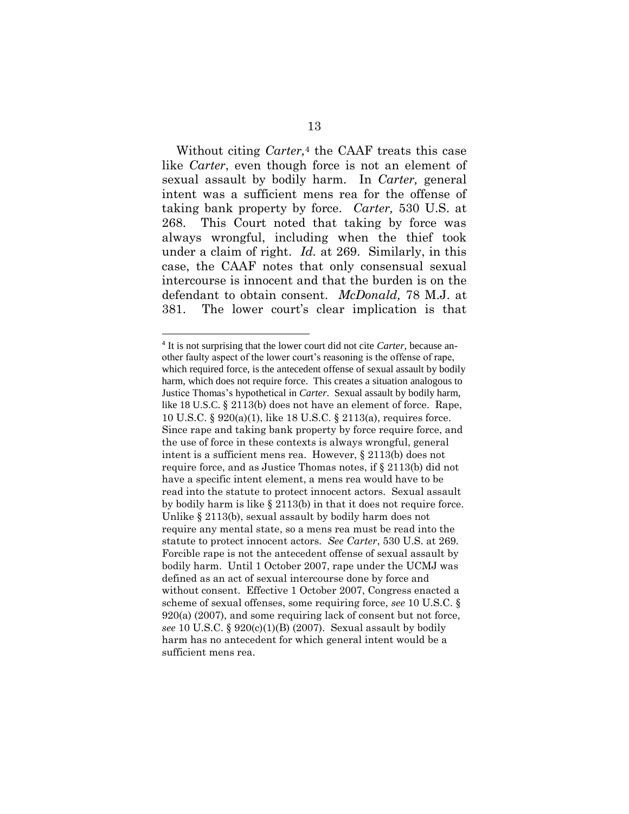Without citing *Carter,*<sup>4</sup> the CAAF treats this case like *Carter*, even though force is not an element of sexual assault by bodily harm*.* In *Carter,* general intent was a sufficient mens rea for the offense of taking bank property by force. *Carter,* 530 U.S. at 268. This Court noted that taking by force was always wrongful, including when the thief took under a claim of right. *Id.* at 269. Similarly, in this case, the CAAF notes that only consensual sexual intercourse is innocent and that the burden is on the defendant to obtain consent. *McDonald,* 78 M.J. at 381. The lower court's clear implication is that

<sup>4</sup> It is not surprising that the lower court did not cite *Carter*, because another faulty aspect of the lower court's reasoning is the offense of rape, which required force, is the antecedent offense of sexual assault by bodily harm, which does not require force. This creates a situation analogous to Justice Thomas's hypothetical in *Carter*. Sexual assault by bodily harm, like 18 U.S.C. § 2113(b) does not have an element of force. Rape, 10 U.S.C. § 920(a)(1), like 18 U.S.C. § 2113(a), requires force. Since rape and taking bank property by force require force, and the use of force in these contexts is always wrongful, general intent is a sufficient mens rea. However, § 2113(b) does not require force, and as Justice Thomas notes, if § 2113(b) did not have a specific intent element, a mens rea would have to be read into the statute to protect innocent actors. Sexual assault by bodily harm is like § 2113(b) in that it does not require force. Unlike § 2113(b), sexual assault by bodily harm does not require any mental state, so a mens rea must be read into the statute to protect innocent actors. *See Carter*, 530 U.S. at 269. Forcible rape is not the antecedent offense of sexual assault by bodily harm. Until 1 October 2007, rape under the UCMJ was defined as an act of sexual intercourse done by force and without consent. Effective 1 October 2007, Congress enacted a scheme of sexual offenses, some requiring force, *see* 10 U.S.C. § 920(a) (2007), and some requiring lack of consent but not force, *see* 10 U.S.C. § 920(c)(1)(B) (2007). Sexual assault by bodily harm has no antecedent for which general intent would be a sufficient mens rea.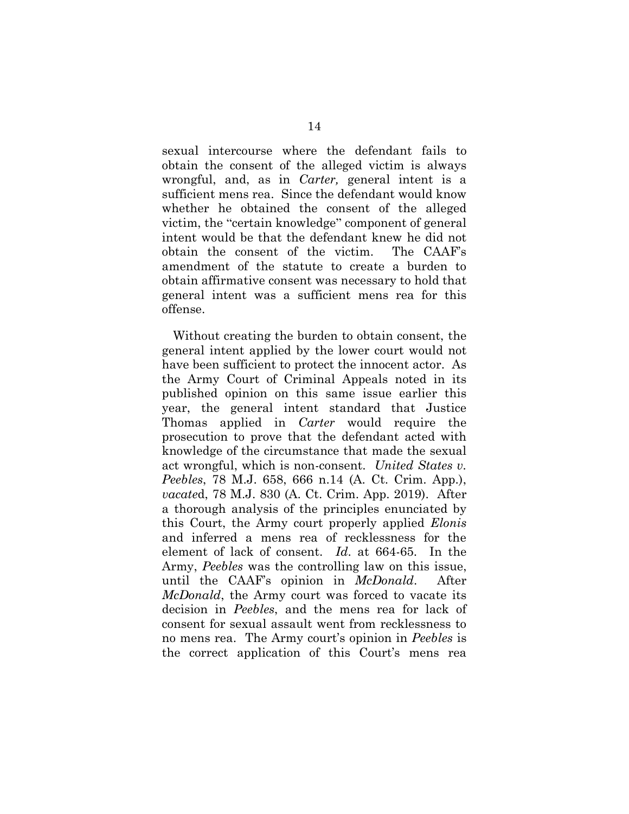sexual intercourse where the defendant fails to obtain the consent of the alleged victim is always wrongful, and, as in *Carter,* general intent is a sufficient mens rea. Since the defendant would know whether he obtained the consent of the alleged victim, the "certain knowledge" component of general intent would be that the defendant knew he did not obtain the consent of the victim. The CAAF's amendment of the statute to create a burden to obtain affirmative consent was necessary to hold that general intent was a sufficient mens rea for this offense.

Without creating the burden to obtain consent, the general intent applied by the lower court would not have been sufficient to protect the innocent actor. As the Army Court of Criminal Appeals noted in its published opinion on this same issue earlier this year, the general intent standard that Justice Thomas applied in *Carter* would require the prosecution to prove that the defendant acted with knowledge of the circumstance that made the sexual act wrongful, which is non-consent. *United States v. Peebles*, 78 M.J. 658, 666 n.14 (A. Ct. Crim. App.), *vacate*d, 78 M.J. 830 (A. Ct. Crim. App. 2019). After a thorough analysis of the principles enunciated by this Court, the Army court properly applied *Elonis* and inferred a mens rea of recklessness for the element of lack of consent. *Id*. at 664-65. In the Army, *Peebles* was the controlling law on this issue, until the CAAF's opinion in *McDonald*. After *McDonald*, the Army court was forced to vacate its decision in *Peebles*, and the mens rea for lack of consent for sexual assault went from recklessness to no mens rea. The Army court's opinion in *Peebles* is the correct application of this Court's mens rea